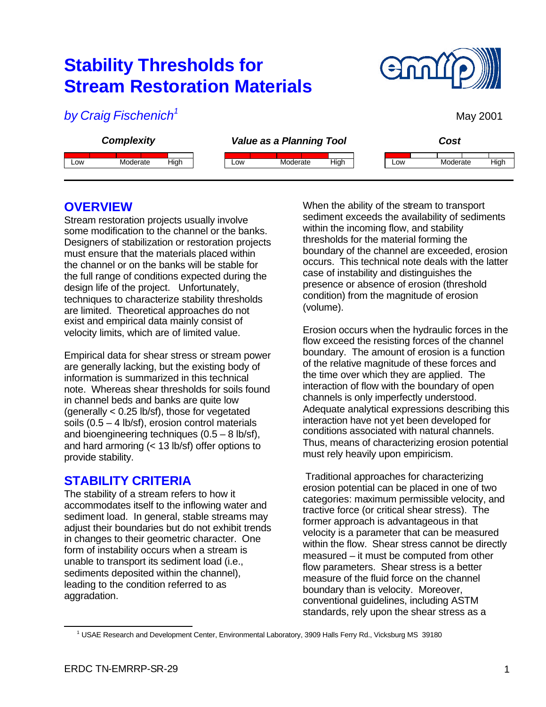# **Stability Thresholds for Stream Restoration Materials**



May 2001

*by Craig Fischenich<sup>1</sup>*



# **OVERVIEW**

Stream restoration projects usually involve some modification to the channel or the banks. Designers of stabilization or restoration projects must ensure that the materials placed within the channel or on the banks will be stable for the full range of conditions expected during the design life of the project. Unfortunately, techniques to characterize stability thresholds are limited. Theoretical approaches do not exist and empirical data mainly consist of velocity limits, which are of limited value.

Empirical data for shear stress or stream power are generally lacking, but the existing body of information is summarized in this technical note. Whereas shear thresholds for soils found in channel beds and banks are quite low (generally < 0.25 lb/sf), those for vegetated soils  $(0.5 - 4 \text{ lb/sf})$ , erosion control materials and bioengineering techniques  $(0.5 - 8 \text{ lb/sf})$ , and hard armoring (< 13 lb/sf) offer options to provide stability.

# **STABILITY CRITERIA**

The stability of a stream refers to how it accommodates itself to the inflowing water and sediment load. In general, stable streams may adjust their boundaries but do not exhibit trends in changes to their geometric character. One form of instability occurs when a stream is unable to transport its sediment load (i.e., sediments deposited within the channel), leading to the condition referred to as aggradation.

When the ability of the stream to transport sediment exceeds the availability of sediments within the incoming flow, and stability thresholds for the material forming the boundary of the channel are exceeded, erosion occurs. This technical note deals with the latter case of instability and distinguishes the presence or absence of erosion (threshold condition) from the magnitude of erosion (volume).

Erosion occurs when the hydraulic forces in the flow exceed the resisting forces of the channel boundary. The amount of erosion is a function of the relative magnitude of these forces and the time over which they are applied. The interaction of flow with the boundary of open channels is only imperfectly understood. Adequate analytical expressions describing this interaction have not yet been developed for conditions associated with natural channels. Thus, means of characterizing erosion potential must rely heavily upon empiricism.

 Traditional approaches for characterizing erosion potential can be placed in one of two categories: maximum permissible velocity, and tractive force (or critical shear stress). The former approach is advantageous in that velocity is a parameter that can be measured within the flow. Shear stress cannot be directly measured – it must be computed from other flow parameters. Shear stress is a better measure of the fluid force on the channel boundary than is velocity. Moreover, conventional guidelines, including ASTM standards, rely upon the shear stress as a

 $\overline{a}$ 

<sup>1</sup> USAE Research and Development Center, Environmental Laboratory, 3909 Halls Ferry Rd., Vicksburg MS 39180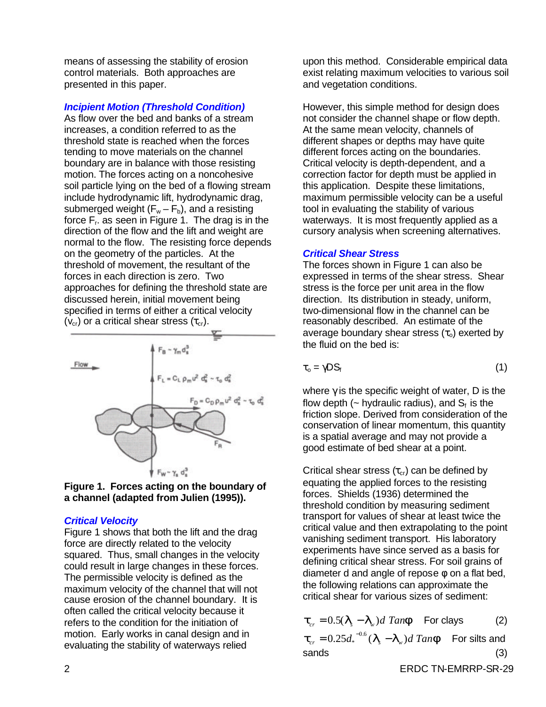means of assessing the stability of erosion control materials. Both approaches are presented in this paper.

#### *Incipient Motion (Threshold Condition)*

As flow over the bed and banks of a stream increases, a condition referred to as the threshold state is reached when the forces tending to move materials on the channel boundary are in balance with those resisting motion. The forces acting on a noncohesive soil particle lying on the bed of a flowing stream include hydrodynamic lift, hydrodynamic drag, submerged weight  $(F_w - F_b)$ , and a resisting force  $F_r$  as seen in Figure 1. The drag is in the direction of the flow and the lift and weight are normal to the flow. The resisting force depends on the geometry of the particles. At the threshold of movement, the resultant of the forces in each direction is zero. Two approaches for defining the threshold state are discussed herein, initial movement being specified in terms of either a critical velocity  $(v_{cr})$  or a critical shear stress  $(\tau_{cr})$ .





#### *Critical Velocity*

Figure 1 shows that both the lift and the drag force are directly related to the velocity squared. Thus, small changes in the velocity could result in large changes in these forces. The permissible velocity is defined as the maximum velocity of the channel that will not cause erosion of the channel boundary. It is often called the critical velocity because it refers to the condition for the initiation of motion. Early works in canal design and in evaluating the stability of waterways relied

upon this method. Considerable empirical data exist relating maximum velocities to various soil and vegetation conditions.

However, this simple method for design does not consider the channel shape or flow depth. At the same mean velocity, channels of different shapes or depths may have quite different forces acting on the boundaries. Critical velocity is depth-dependent, and a correction factor for depth must be applied in this application. Despite these limitations, maximum permissible velocity can be a useful tool in evaluating the stability of various waterways. It is most frequently applied as a cursory analysis when screening alternatives.

#### *Critical Shear Stress*

The forces shown in Figure 1 can also be expressed in terms of the shear stress. Shear stress is the force per unit area in the flow direction. Its distribution in steady, uniform, two-dimensional flow in the channel can be reasonably described. An estimate of the average boundary shear stress  $(\tau_o)$  exerted by the fluid on the bed is:

$$
\tau_{o} = \gamma DS_{f} \tag{1}
$$

where  $\gamma$  is the specific weight of water, D is the flow depth ( $\sim$  hydraulic radius), and  $S_f$  is the friction slope. Derived from consideration of the conservation of linear momentum, this quantity is a spatial average and may not provide a good estimate of bed shear at a point.

Critical shear stress  $(\tau_{cr})$  can be defined by equating the applied forces to the resisting forces. Shields (1936) determined the threshold condition by measuring sediment transport for values of shear at least twice the critical value and then extrapolating to the point vanishing sediment transport. His laboratory experiments have since served as a basis for defining critical shear stress. For soil grains of diameter d and angle of repose  $\phi$  on a flat bed, the following relations can approximate the critical shear for various sizes of sediment:

$$
\boldsymbol{t}_{cr} = 0.5(\boldsymbol{I}_s - \boldsymbol{I}_w)d\ \text{Tan}\ \boldsymbol{f}\ \ \text{For class} \tag{2}
$$

 $t_{cr} = 0.25d_*^{-0.6} (I_s - I_w)d$  *Tanf* For silts and sands (3)

2 ERDC TN-EMRRP-SR-29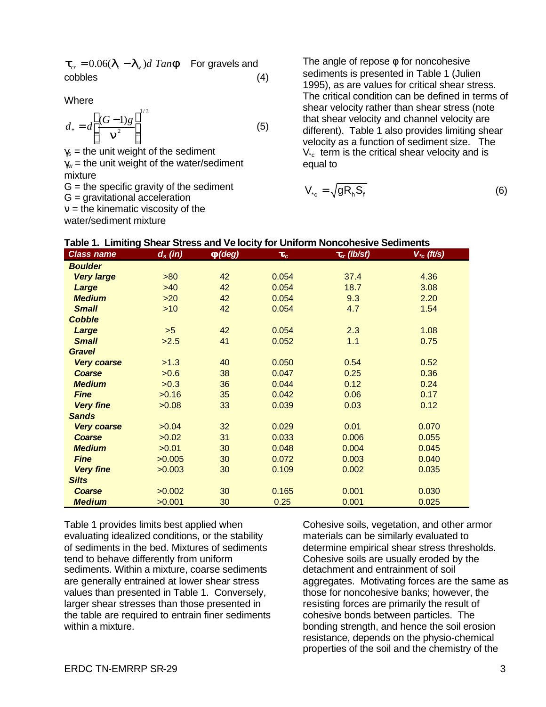$t_{cr} = 0.06(I_s - I_w)d$  *Tan***f** For gravels and cobbles (4)

**Where** 

$$
d_* = d \left[ \frac{(G-1)g}{\mathbf{n}^2} \right]^{1/3} \tag{5}
$$

 $\gamma_s$  = the unit weight of the sediment  $\gamma_w$  = the unit weight of the water/sediment mixture

 $G =$  the specific gravity of the sediment

G = gravitational acceleration

 $v =$  the kinematic viscosity of the

water/sediment mixture

The angle of repose  $\phi$  for noncohesive sediments is presented in Table 1 (Julien 1995), as are values for critical shear stress. The critical condition can be defined in terms of shear velocity rather than shear stress (note that shear velocity and channel velocity are different). Table 1 also provides limiting shear velocity as a function of sediment size. The  $V_{c}$  term is the critical shear velocity and is equal to

$$
V_{c} = \sqrt{gR_hS_f}
$$
 (6)

| Table 1.  Limiting Shear Stress and Ve locity for Uniform Noncohesive Sediments |            |                 |       |                  |                |  |
|---------------------------------------------------------------------------------|------------|-----------------|-------|------------------|----------------|--|
| <b>Class name</b>                                                               | $d_s$ (in) | $f(\text{deg})$ | $t_c$ | $t_{cr}$ (lb/sf) | $V_{c}$ (ft/s) |  |
| <b>Boulder</b>                                                                  |            |                 |       |                  |                |  |
| <b>Very large</b>                                                               | >80        | 42              | 0.054 | 37.4             | 4.36           |  |
| Large                                                                           | $>40$      | 42              | 0.054 | 18.7             | 3.08           |  |
| <b>Medium</b>                                                                   | $>20$      | 42              | 0.054 | 9.3              | 2.20           |  |
| <b>Small</b>                                                                    | $>10$      | 42              | 0.054 | 4.7              | 1.54           |  |
| <b>Cobble</b>                                                                   |            |                 |       |                  |                |  |
| Large                                                                           | >5         | 42              | 0.054 | 2.3              | 1.08           |  |
| <b>Small</b>                                                                    | >2.5       | 41              | 0.052 | 1.1              | 0.75           |  |
| <b>Gravel</b>                                                                   |            |                 |       |                  |                |  |
| <b>Very coarse</b>                                                              | >1.3       | 40              | 0.050 | 0.54             | 0.52           |  |
| <b>Coarse</b>                                                                   | >0.6       | 38              | 0.047 | 0.25             | 0.36           |  |
| <b>Medium</b>                                                                   | >0.3       | 36              | 0.044 | 0.12             | 0.24           |  |
| <b>Fine</b>                                                                     | >0.16      | 35              | 0.042 | 0.06             | 0.17           |  |
| <b>Very fine</b>                                                                | >0.08      | 33              | 0.039 | 0.03             | 0.12           |  |
| <b>Sands</b>                                                                    |            |                 |       |                  |                |  |
| <b>Very coarse</b>                                                              | >0.04      | 32              | 0.029 | 0.01             | 0.070          |  |
| <b>Coarse</b>                                                                   | >0.02      | 31              | 0.033 | 0.006            | 0.055          |  |
| <b>Medium</b>                                                                   | >0.01      | 30              | 0.048 | 0.004            | 0.045          |  |
| <b>Fine</b>                                                                     | >0.005     | 30              | 0.072 | 0.003            | 0.040          |  |
| <b>Very fine</b>                                                                | >0.003     | 30              | 0.109 | 0.002            | 0.035          |  |
| <b>Silts</b>                                                                    |            |                 |       |                  |                |  |
| Coarse                                                                          | >0.002     | 30              | 0.165 | 0.001            | 0.030          |  |
| <b>Medium</b>                                                                   | >0.001     | 30              | 0.25  | 0.001            | 0.025          |  |

|  | Table 1. Limiting Shear Stress and Ve locity for Uniform Noncohesive Sediments |
|--|--------------------------------------------------------------------------------|
|--|--------------------------------------------------------------------------------|

Table 1 provides limits best applied when evaluating idealized conditions, or the stability of sediments in the bed. Mixtures of sediments tend to behave differently from uniform sediments. Within a mixture, coarse sediments are generally entrained at lower shear stress values than presented in Table 1. Conversely, larger shear stresses than those presented in the table are required to entrain finer sediments within a mixture.

Cohesive soils, vegetation, and other armor materials can be similarly evaluated to determine empirical shear stress thresholds. Cohesive soils are usually eroded by the detachment and entrainment of soil aggregates. Motivating forces are the same as those for noncohesive banks; however, the resisting forces are primarily the result of cohesive bonds between particles. The bonding strength, and hence the soil erosion resistance, depends on the physio-chemical properties of the soil and the chemistry of the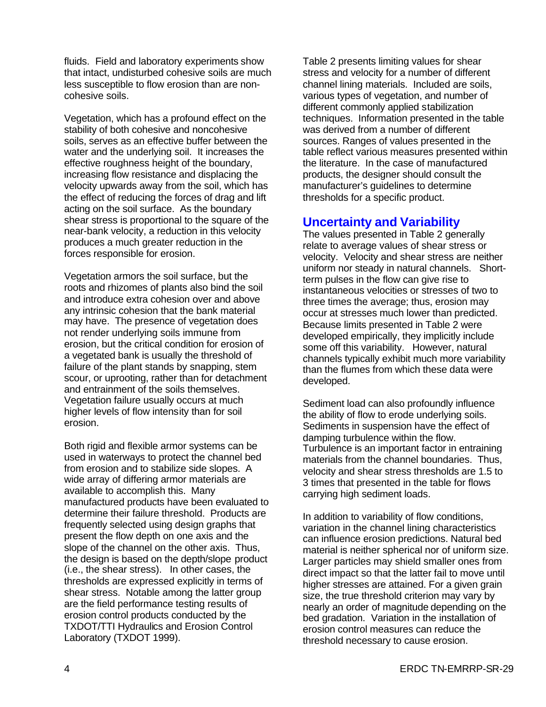fluids. Field and laboratory experiments show that intact, undisturbed cohesive soils are much less susceptible to flow erosion than are noncohesive soils.

Vegetation, which has a profound effect on the stability of both cohesive and noncohesive soils, serves as an effective buffer between the water and the underlying soil. It increases the effective roughness height of the boundary, increasing flow resistance and displacing the velocity upwards away from the soil, which has the effect of reducing the forces of drag and lift acting on the soil surface. As the boundary shear stress is proportional to the square of the near-bank velocity, a reduction in this velocity produces a much greater reduction in the forces responsible for erosion.

Vegetation armors the soil surface, but the roots and rhizomes of plants also bind the soil and introduce extra cohesion over and above any intrinsic cohesion that the bank material may have. The presence of vegetation does not render underlying soils immune from erosion, but the critical condition for erosion of a vegetated bank is usually the threshold of failure of the plant stands by snapping, stem scour, or uprooting, rather than for detachment and entrainment of the soils themselves. Vegetation failure usually occurs at much higher levels of flow intensity than for soil erosion.

Both rigid and flexible armor systems can be used in waterways to protect the channel bed from erosion and to stabilize side slopes. A wide array of differing armor materials are available to accomplish this. Many manufactured products have been evaluated to determine their failure threshold. Products are frequently selected using design graphs that present the flow depth on one axis and the slope of the channel on the other axis. Thus, the design is based on the depth/slope product (i.e., the shear stress). In other cases, the thresholds are expressed explicitly in terms of shear stress. Notable among the latter group are the field performance testing results of erosion control products conducted by the TXDOT/TTI Hydraulics and Erosion Control Laboratory (TXDOT 1999).

Table 2 presents limiting values for shear stress and velocity for a number of different channel lining materials. Included are soils, various types of vegetation, and number of different commonly applied stabilization techniques. Information presented in the table was derived from a number of different sources. Ranges of values presented in the table reflect various measures presented within the literature. In the case of manufactured products, the designer should consult the manufacturer's guidelines to determine thresholds for a specific product.

# **Uncertainty and Variability**

The values presented in Table 2 generally relate to average values of shear stress or velocity. Velocity and shear stress are neither uniform nor steady in natural channels. Shortterm pulses in the flow can give rise to instantaneous velocities or stresses of two to three times the average; thus, erosion may occur at stresses much lower than predicted. Because limits presented in Table 2 were developed empirically, they implicitly include some off this variability. However, natural channels typically exhibit much more variability than the flumes from which these data were developed.

Sediment load can also profoundly influence the ability of flow to erode underlying soils. Sediments in suspension have the effect of damping turbulence within the flow. Turbulence is an important factor in entraining materials from the channel boundaries. Thus, velocity and shear stress thresholds are 1.5 to 3 times that presented in the table for flows carrying high sediment loads.

In addition to variability of flow conditions, variation in the channel lining characteristics can influence erosion predictions. Natural bed material is neither spherical nor of uniform size. Larger particles may shield smaller ones from direct impact so that the latter fail to move until higher stresses are attained. For a given grain size, the true threshold criterion may vary by nearly an order of magnitude depending on the bed gradation. Variation in the installation of erosion control measures can reduce the threshold necessary to cause erosion.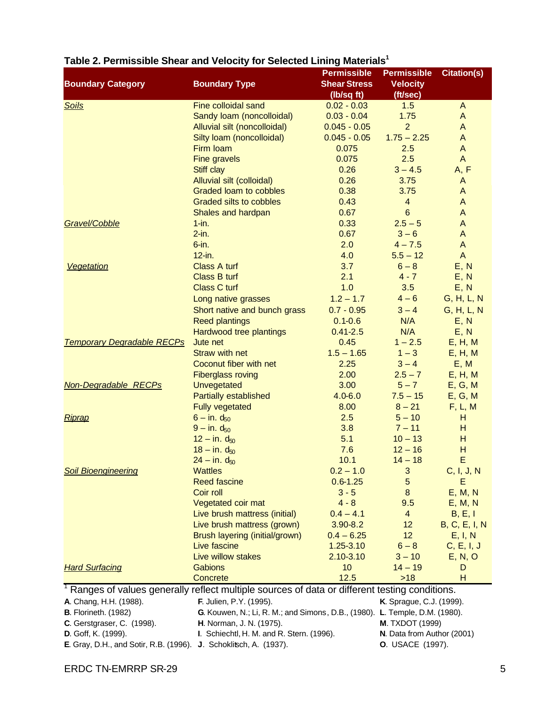|                                                                                                           |                                                                             | <b>Permissible</b>                | <b>Permissible</b>          | <b>Citation(s)</b>   |
|-----------------------------------------------------------------------------------------------------------|-----------------------------------------------------------------------------|-----------------------------------|-----------------------------|----------------------|
| <b>Boundary Category</b>                                                                                  | <b>Boundary Type</b>                                                        | <b>Shear Stress</b><br>(Ib/sq ft) | <b>Velocity</b><br>(ft/sec) |                      |
| <b>Soils</b>                                                                                              | Fine colloidal sand                                                         | $0.02 - 0.03$                     | 1.5                         | $\mathsf{A}$         |
|                                                                                                           | Sandy Ioam (noncolloidal)                                                   | $0.03 - 0.04$                     | 1.75                        | A                    |
|                                                                                                           | Alluvial silt (noncolloidal)                                                | $0.045 - 0.05$                    | $\overline{2}$              | A                    |
|                                                                                                           | Silty loam (noncolloidal)                                                   | $0.045 - 0.05$                    | $1.75 - 2.25$               | A                    |
|                                                                                                           | Firm loam                                                                   | 0.075                             | 2.5                         | A                    |
|                                                                                                           |                                                                             | 0.075                             | 2.5                         | $\mathsf{A}$         |
|                                                                                                           | <b>Fine gravels</b><br>Stiff clay                                           | 0.26                              | $3 - 4.5$                   | A, F                 |
|                                                                                                           | Alluvial silt (colloidal)                                                   | 0.26                              | 3.75                        | A                    |
|                                                                                                           | Graded loam to cobbles                                                      | 0.38                              | 3.75                        | A                    |
|                                                                                                           | <b>Graded silts to cobbles</b>                                              | 0.43                              | $\overline{\mathbf{4}}$     | A                    |
|                                                                                                           |                                                                             | 0.67                              | $6\phantom{1}6$             | A                    |
| Gravel/Cobble                                                                                             | Shales and hardpan                                                          | 0.33                              |                             |                      |
|                                                                                                           | $1 - in.$                                                                   |                                   | $2.5 - 5$                   | A                    |
|                                                                                                           | $2-in.$                                                                     | 0.67                              | $3 - 6$                     | A                    |
|                                                                                                           | $6$ -in.                                                                    | 2.0                               | $4 - 7.5$                   | A                    |
|                                                                                                           | $12$ -in.                                                                   | 4.0                               | $5.5 - 12$                  | A                    |
| Vegetation                                                                                                | <b>Class A turf</b>                                                         | 3.7                               | $6 - 8$                     | E, N                 |
|                                                                                                           | Class B turf                                                                | 2.1                               | $4 - 7$                     | E, N                 |
|                                                                                                           | <b>Class C turf</b>                                                         | 1.0                               | 3.5                         | E, N                 |
|                                                                                                           | Long native grasses                                                         | $1.2 - 1.7$                       | $4 - 6$                     | G, H, L, N           |
|                                                                                                           | Short native and bunch grass                                                | $0.7 - 0.95$                      | $3 - 4$                     | G, H, L, N           |
|                                                                                                           | <b>Reed plantings</b>                                                       | $0.1 - 0.6$                       | N/A                         | E, N                 |
|                                                                                                           | Hardwood tree plantings                                                     | $0.41 - 2.5$                      | N/A                         | E, N                 |
| <b>Temporary Degradable RECPs</b>                                                                         | Jute net                                                                    | 0.45                              | $1 - 2.5$                   | E, H, M              |
|                                                                                                           | <b>Straw with net</b>                                                       | $1.5 - 1.65$                      | $1 - 3$                     | E, H, M              |
|                                                                                                           | Coconut fiber with net                                                      | 2.25                              | $3 - 4$                     | E, M                 |
|                                                                                                           | <b>Fiberglass roving</b>                                                    | 2.00                              | $2.5 - 7$                   | E, H, M              |
| <b>Non-Degradable RECPs</b>                                                                               | Unvegetated                                                                 | 3.00                              | $5 - 7$                     | E, G, M              |
|                                                                                                           | <b>Partially established</b>                                                | $4.0 - 6.0$                       | $7.5 - 15$                  | E, G, M              |
|                                                                                                           | <b>Fully vegetated</b>                                                      | 8.00                              | $8 - 21$                    | F, L, M              |
| Riprap                                                                                                    | $6 - in. d_{50}$                                                            | 2.5                               | $5 - 10$                    | н                    |
|                                                                                                           | $9 - in. d_{50}$                                                            | 3.8                               | $7 - 11$                    | н                    |
|                                                                                                           | $12 - in. d_{50}$                                                           | 5.1                               | $10 - 13$                   | н                    |
|                                                                                                           | $18 - in. d_{50}$                                                           | 7.6                               | $12 - 16$                   | н                    |
|                                                                                                           | $24 - in. d_{50}$                                                           | 10.1                              | $14 - 18$                   | E                    |
| <b>Soil Bioengineering</b>                                                                                | <b>Wattles</b>                                                              | $0.2 - 1.0$                       | 3                           | C, I, J, N           |
|                                                                                                           | <b>Reed fascine</b>                                                         | $0.6 - 1.25$                      | 5                           | Ε                    |
|                                                                                                           | Coir roll                                                                   | $3 - 5$                           | $\bf 8$                     | E, M, N              |
|                                                                                                           | Vegetated coir mat                                                          | $4 - 8$                           | 9.5                         | E, M, N              |
|                                                                                                           | Live brush mattress (initial)                                               | $0.4 - 4.1$                       | 4                           | B, E, I              |
|                                                                                                           | Live brush mattress (grown)                                                 | $3.90 - 8.2$                      | 12                          | <b>B, C, E, I, N</b> |
|                                                                                                           | Brush layering (initial/grown)                                              | $0.4 - 6.25$                      | 12                          | E, I, N              |
|                                                                                                           | Live fascine                                                                | $1.25 - 3.10$                     | $6 - 8$                     | C, E, I, J           |
|                                                                                                           | Live willow stakes                                                          | $2.10 - 3.10$                     | $3 - 10$                    | E, N, O              |
| <b>Hard Surfacing</b>                                                                                     | Gabions                                                                     | 10                                | $14 - 19$                   | D                    |
|                                                                                                           | Concrete                                                                    | 12.5                              | $>18$                       | н                    |
| <sup>1</sup> Ranges of values generally reflect multiple sources of data or different testing conditions. |                                                                             |                                   |                             |                      |
| A. Chang, H.H. (1988).                                                                                    | F. Julien, P.Y. (1995).                                                     |                                   | K. Sprague, C.J. (1999).    |                      |
| <b>B.</b> Florineth. (1982)                                                                               | G. Kouwen, N.; Li, R. M.; and Simons, D.B., (1980). L. Temple, D.M. (1980). |                                   |                             |                      |
| C. Gerstgraser, C. (1998).                                                                                | H. Norman, J. N. (1975).<br><b>M. TXDOT (1999)</b>                          |                                   |                             |                      |
| N. Data from Author (2001)<br>D. Goff, K. (1999).<br>I. Schiechtl, H. M. and R. Stern. (1996).            |                                                                             |                                   |                             |                      |
| E. Gray, D.H., and Sotir, R.B. (1996). J. Schoklitsch, A. (1937).                                         |                                                                             |                                   | <b>O.</b> USACE (1997).     |                      |

# **Table 2. Permissible Shear and Velocity for Selected Lining Materials<sup>1</sup>**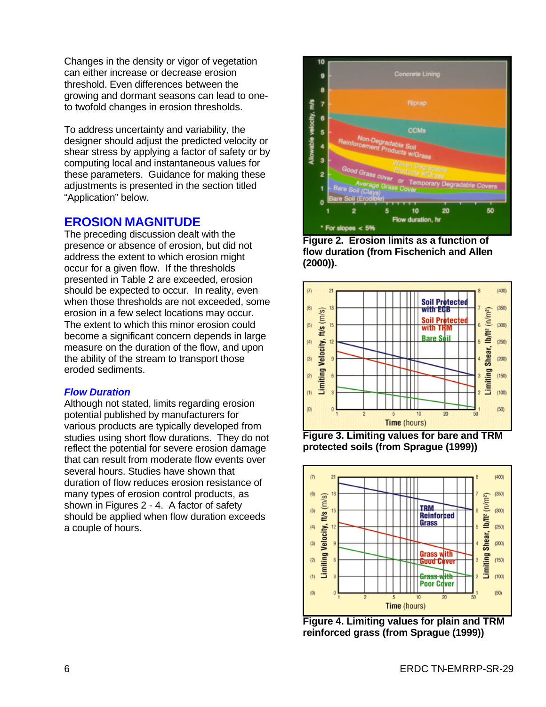Changes in the density or vigor of vegetation can either increase or decrease erosion threshold. Even differences between the growing and dormant seasons can lead to oneto twofold changes in erosion thresholds.

To address uncertainty and variability, the designer should adjust the predicted velocity or shear stress by applying a factor of safety or by computing local and instantaneous values for these parameters. Guidance for making these adjustments is presented in the section titled "Application" below.

# **EROSION MAGNITUDE**

The preceding discussion dealt with the presence or absence of erosion, but did not address the extent to which erosion might occur for a given flow. If the thresholds presented in Table 2 are exceeded, erosion should be expected to occur. In reality, even when those thresholds are not exceeded, some erosion in a few select locations may occur. The extent to which this minor erosion could become a significant concern depends in large measure on the duration of the flow, and upon the ability of the stream to transport those eroded sediments.

### *Flow Duration*

Although not stated, limits regarding erosion potential published by manufacturers for various products are typically developed from studies using short flow durations. They do not reflect the potential for severe erosion damage that can result from moderate flow events over several hours. Studies have shown that duration of flow reduces erosion resistance of many types of erosion control products, as shown in Figures 2 - 4. A factor of safety should be applied when flow duration exceeds a couple of hours.



**Figure 2. Erosion limits as a function of flow duration (from Fischenich and Allen (2000)).**



**Figure 3. Limiting values for bare and TRM protected soils (from Sprague (1999))**



**Figure 4. Limiting values for plain and TRM reinforced grass (from Sprague (1999))**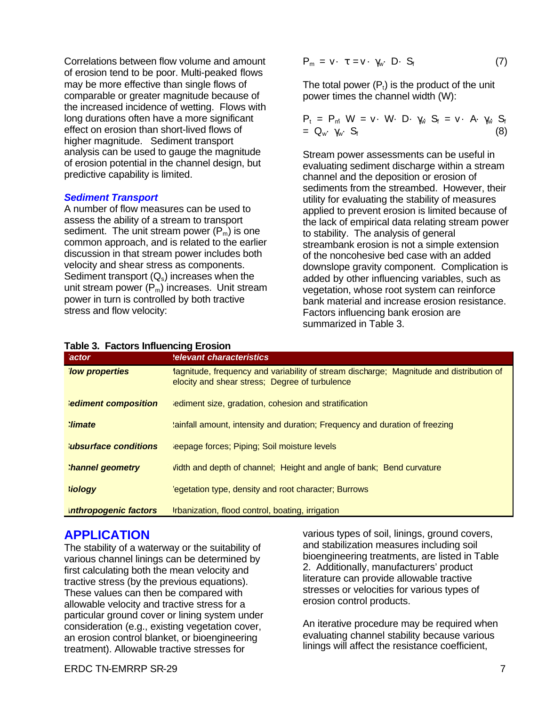Correlations between flow volume and amount of erosion tend to be poor. Multi-peaked flows may be more effective than single flows of comparable or greater magnitude because of the increased incidence of wetting. Flows with long durations often have a more significant effect on erosion than short-lived flows of higher magnitude. Sediment transport analysis can be used to gauge the magnitude of erosion potential in the channel design, but predictive capability is limited.

#### *Sediment Transport*

A number of flow measures can be used to assess the ability of a stream to transport sediment. The unit stream power  $(P_m)$  is one common approach, and is related to the earlier discussion in that stream power includes both velocity and shear stress as components. Sediment transport  $(Q_s)$  increases when the unit stream power  $(P_m)$  increases. Unit stream power in turn is controlled by both tractive stress and flow velocity:

$$
P_m = v \cdot \tau = v \cdot \gamma_w \cdot D \cdot S_f \tag{7}
$$

The total power  $(P_t)$  is the product of the unit power times the channel width (W):

$$
P_t = P_m W = v \cdot W \cdot D \cdot \gamma_w S_f = v \cdot A \cdot \gamma_w S_f
$$
  
= Q\_w \cdot \gamma\_w \cdot S\_f (8)

Stream power assessments can be useful in evaluating sediment discharge within a stream channel and the deposition or erosion of sediments from the streambed. However, their utility for evaluating the stability of measures applied to prevent erosion is limited because of the lack of empirical data relating stream power to stability. The analysis of general streambank erosion is not a simple extension of the noncohesive bed case with an added downslope gravity component. Complication is added by other influencing variables, such as vegetation, whose root system can reinforce bank material and increase erosion resistance. Factors influencing bank erosion are summarized in Table 3.

| $1800$ . Tactors intructionly Library in |                                                                                                                                           |  |  |  |
|------------------------------------------|-------------------------------------------------------------------------------------------------------------------------------------------|--|--|--|
| actor                                    | <b>Relevant characteristics</b>                                                                                                           |  |  |  |
| <b>Tow properties</b>                    | lagnitude, frequency and variability of stream discharge; Magnitude and distribution of<br>elocity and shear stress; Degree of turbulence |  |  |  |
| <b>Sediment composition</b>              | lediment size, gradation, cohesion and stratification                                                                                     |  |  |  |
| <b>limate</b>                            | 'ainfall amount, intensity and duration; Frequency and duration of freezing                                                               |  |  |  |
| <b>lubsurface conditions</b>             | leepage forces; Piping; Soil moisture levels                                                                                              |  |  |  |
| hannel geometry                          | Vidth and depth of channel; Height and angle of bank; Bend curvature                                                                      |  |  |  |
| <b>Siology</b>                           | 'egetation type, density and root character; Burrows                                                                                      |  |  |  |
| <b>Inthropogenic factors</b>             | Irbanization, flood control, boating, irrigation                                                                                          |  |  |  |

#### **Table 3. Factors Influencing Erosion**

# **APPLICATION**

The stability of a waterway or the suitability of various channel linings can be determined by first calculating both the mean velocity and tractive stress (by the previous equations). These values can then be compared with allowable velocity and tractive stress for a particular ground cover or lining system under consideration (e.g., existing vegetation cover, an erosion control blanket, or bioengineering treatment). Allowable tractive stresses for

various types of soil, linings, ground covers, and stabilization measures including soil bioengineering treatments, are listed in Table 2. Additionally, manufacturers' product literature can provide allowable tractive stresses or velocities for various types of erosion control products.

An iterative procedure may be required when evaluating channel stability because various linings will affect the resistance coefficient,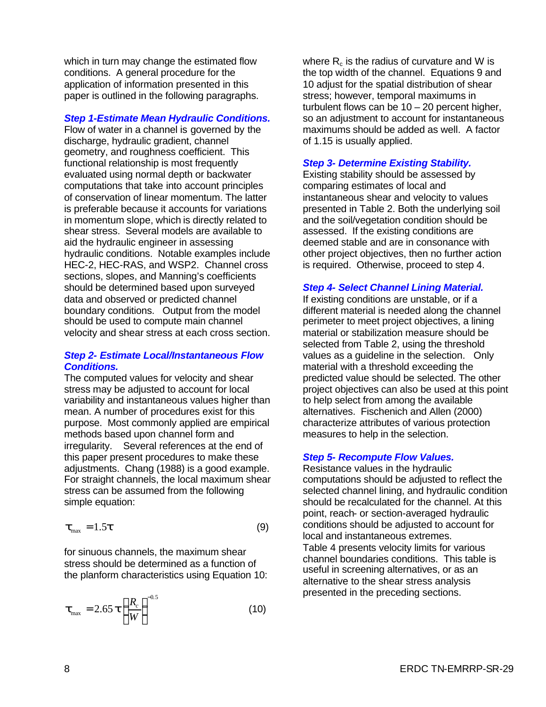which in turn may change the estimated flow conditions. A general procedure for the application of information presented in this paper is outlined in the following paragraphs.

#### *Step 1-Estimate Mean Hydraulic Conditions.*

Flow of water in a channel is governed by the discharge, hydraulic gradient, channel geometry, and roughness coefficient. This functional relationship is most frequently evaluated using normal depth or backwater computations that take into account principles of conservation of linear momentum. The latter is preferable because it accounts for variations in momentum slope, which is directly related to shear stress. Several models are available to aid the hydraulic engineer in assessing hydraulic conditions. Notable examples include HEC-2, HEC-RAS, and WSP2. Channel cross sections, slopes, and Manning's coefficients should be determined based upon surveyed data and observed or predicted channel boundary conditions. Output from the model should be used to compute main channel velocity and shear stress at each cross section.

#### *Step 2- Estimate Local/Instantaneous Flow Conditions.*

The computed values for velocity and shear stress may be adjusted to account for local variability and instantaneous values higher than mean. A number of procedures exist for this purpose. Most commonly applied are empirical methods based upon channel form and irregularity. Several references at the end of this paper present procedures to make these adjustments. Chang (1988) is a good example. For straight channels, the local maximum shear stress can be assumed from the following simple equation:

$$
\boldsymbol{t}_{\text{max}} = 1.5\boldsymbol{t} \tag{9}
$$

for sinuous channels, the maximum shear stress should be determined as a function of the planform characteristics using Equation 10:

$$
\boldsymbol{t}_{\text{max}} = 2.65 \ \boldsymbol{t} \left( \frac{R_c}{W} \right)^{-0.5} \tag{10}
$$

where  $R_c$  is the radius of curvature and W is the top width of the channel. Equations 9 and 10 adjust for the spatial distribution of shear stress; however, temporal maximums in turbulent flows can be  $10 - 20$  percent higher, so an adjustment to account for instantaneous maximums should be added as well. A factor of 1.15 is usually applied.

#### *Step 3- Determine Existing Stability.*

Existing stability should be assessed by comparing estimates of local and instantaneous shear and velocity to values presented in Table 2. Both the underlying soil and the soil/vegetation condition should be assessed. If the existing conditions are deemed stable and are in consonance with other project objectives, then no further action is required. Otherwise, proceed to step 4.

#### *Step 4- Select Channel Lining Material.*

If existing conditions are unstable, or if a different material is needed along the channel perimeter to meet project objectives, a lining material or stabilization measure should be selected from Table 2, using the threshold values as a guideline in the selection. Only material with a threshold exceeding the predicted value should be selected. The other project objectives can also be used at this point to help select from among the available alternatives. Fischenich and Allen (2000) characterize attributes of various protection measures to help in the selection.

#### *Step 5- Recompute Flow Values.*

Resistance values in the hydraulic computations should be adjusted to reflect the selected channel lining, and hydraulic condition should be recalculated for the channel. At this point, reach- or section-averaged hydraulic conditions should be adjusted to account for local and instantaneous extremes. Table 4 presents velocity limits for various channel boundaries conditions. This table is useful in screening alternatives, or as an alternative to the shear stress analysis presented in the preceding sections.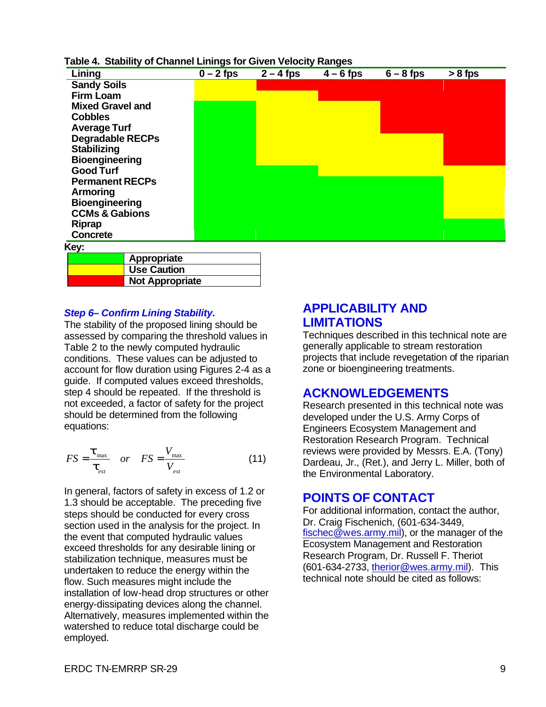#### **Table 4. Stability of Channel Linings for Given Velocity Ranges**

| Lining                    | $0 - 2$ fps | $2 - 4$ fps | $\overline{4-6}$ fps | $6 - 8$ fps | $> 8$ fps |
|---------------------------|-------------|-------------|----------------------|-------------|-----------|
| <b>Sandy Soils</b>        |             |             |                      |             |           |
| <b>Firm Loam</b>          |             |             |                      |             |           |
| <b>Mixed Gravel and</b>   |             |             |                      |             |           |
| <b>Cobbles</b>            |             |             |                      |             |           |
| <b>Average Turf</b>       |             |             |                      |             |           |
| <b>Degradable RECPs</b>   |             |             |                      |             |           |
| <b>Stabilizing</b>        |             |             |                      |             |           |
| <b>Bioengineering</b>     |             |             |                      |             |           |
| <b>Good Turf</b>          |             |             |                      |             |           |
| <b>Permanent RECPs</b>    |             |             |                      |             |           |
| Armoring                  |             |             |                      |             |           |
| <b>Bioengineering</b>     |             |             |                      |             |           |
| <b>CCMs &amp; Gabions</b> |             |             |                      |             |           |
| <b>Riprap</b>             |             |             |                      |             |           |
| <b>Concrete</b>           |             |             |                      |             |           |
| Key:                      |             |             |                      |             |           |
| Appropriate               |             |             |                      |             |           |

#### *Step 6– Confirm Lining Stability.*

**Use Caution Not Appropriate**

The stability of the proposed lining should be assessed by comparing the threshold values in Table 2 to the newly computed hydraulic conditions. These values can be adjusted to account for flow duration using Figures 2-4 as a guide. If computed values exceed thresholds, step 4 should be repeated. If the threshold is not exceeded, a factor of safety for the project should be determined from the following equations:

$$
FS = \frac{\boldsymbol{t}_{\text{max}}}{\boldsymbol{t}_{\text{est}}} \quad or \quad FS = \frac{V_{\text{max}}}{V_{\text{est}}} \tag{11}
$$

In general, factors of safety in excess of 1.2 or 1.3 should be acceptable. The preceding five steps should be conducted for every cross section used in the analysis for the project. In the event that computed hydraulic values exceed thresholds for any desirable lining or stabilization technique, measures must be undertaken to reduce the energy within the flow. Such measures might include the installation of low-head drop structures or other energy-dissipating devices along the channel. Alternatively, measures implemented within the watershed to reduce total discharge could be employed.

## **APPLICABILITY AND LIMITATIONS**

Techniques described in this technical note are generally applicable to stream restoration projects that include revegetation of the riparian zone or bioengineering treatments.

### **ACKNOWLEDGEMENTS**

Research presented in this technical note was developed under the U.S. Army Corps of Engineers Ecosystem Management and Restoration Research Program. Technical reviews were provided by Messrs. E.A. (Tony) Dardeau, Jr., (Ret.), and Jerry L. Miller, both of the Environmental Laboratory.

### **POINTS OF CONTACT**

For additional information, contact the author, Dr. Craig Fischenich, (601-634-3449, fischec@wes.army.mil), or the manager of the Ecosystem Management and Restoration Research Program, Dr. Russell F. Theriot (601-634-2733, therior@wes.army.mil). This technical note should be cited as follows: